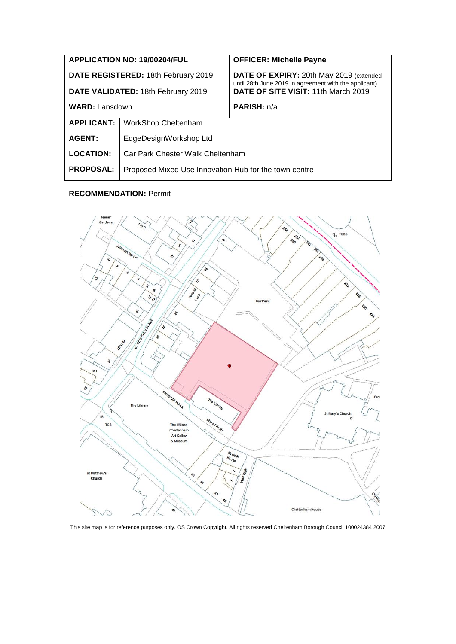| <b>APPLICATION NO: 19/00204/FUL</b> |                                                       | <b>OFFICER: Michelle Payne</b>                                                                   |
|-------------------------------------|-------------------------------------------------------|--------------------------------------------------------------------------------------------------|
| DATE REGISTERED: 18th February 2019 |                                                       | DATE OF EXPIRY: 20th May 2019 (extended<br>until 28th June 2019 in agreement with the applicant) |
| DATE VALIDATED: 18th February 2019  |                                                       | DATE OF SITE VISIT: 11th March 2019                                                              |
| <b>WARD: Lansdown</b>               |                                                       | PARISH: n/a                                                                                      |
| <b>APPLICANT:</b>                   | WorkShop Cheltenham                                   |                                                                                                  |
| <b>AGENT:</b>                       | EdgeDesignWorkshop Ltd                                |                                                                                                  |
| <b>LOCATION:</b>                    | Car Park Chester Walk Cheltenham                      |                                                                                                  |
| <b>PROPOSAL:</b>                    | Proposed Mixed Use Innovation Hub for the town centre |                                                                                                  |

## **RECOMMENDATION:** Permit



This site map is for reference purposes only. OS Crown Copyright. All rights reserved Cheltenham Borough Council 100024384 2007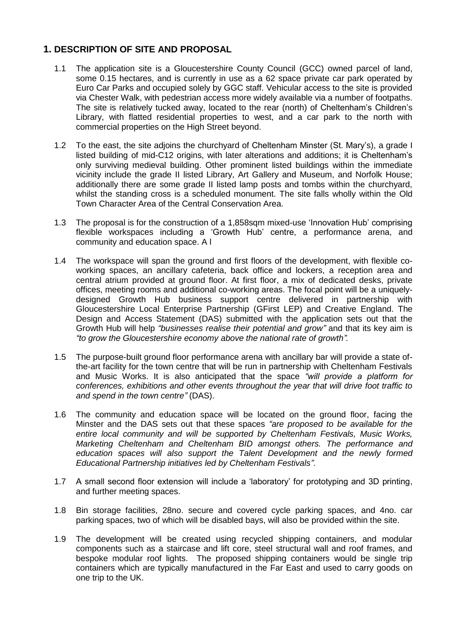# **1. DESCRIPTION OF SITE AND PROPOSAL**

- 1.1 The application site is a Gloucestershire County Council (GCC) owned parcel of land, some 0.15 hectares, and is currently in use as a 62 space private car park operated by Euro Car Parks and occupied solely by GGC staff. Vehicular access to the site is provided via Chester Walk, with pedestrian access more widely available via a number of footpaths. The site is relatively tucked away, located to the rear (north) of Cheltenham's Children's Library, with flatted residential properties to west, and a car park to the north with commercial properties on the High Street beyond.
- 1.2 To the east, the site adjoins the churchyard of Cheltenham Minster (St. Mary's), a grade I listed building of mid-C12 origins, with later alterations and additions; it is Cheltenham's only surviving medieval building. Other prominent listed buildings within the immediate vicinity include the grade II listed Library, Art Gallery and Museum, and Norfolk House; additionally there are some grade II listed lamp posts and tombs within the churchyard, whilst the standing cross is a scheduled monument. The site falls wholly within the Old Town Character Area of the Central Conservation Area.
- 1.3 The proposal is for the construction of a 1,858sqm mixed-use 'Innovation Hub' comprising flexible workspaces including a 'Growth Hub' centre, a performance arena, and community and education space. A l
- 1.4 The workspace will span the ground and first floors of the development, with flexible coworking spaces, an ancillary cafeteria, back office and lockers, a reception area and central atrium provided at ground floor. At first floor, a mix of dedicated desks, private offices, meeting rooms and additional co-working areas. The focal point will be a uniquelydesigned Growth Hub business support centre delivered in partnership with Gloucestershire Local Enterprise Partnership (GFirst LEP) and Creative England. The Design and Access Statement (DAS) submitted with the application sets out that the Growth Hub will help *"businesses realise their potential and grow"* and that its key aim is *"to grow the Gloucestershire economy above the national rate of growth".*
- 1.5 The purpose-built ground floor performance arena with ancillary bar will provide a state ofthe-art facility for the town centre that will be run in partnership with Cheltenham Festivals and Music Works. It is also anticipated that the space *"will provide a platform for conferences, exhibitions and other events throughout the year that will drive foot traffic to and spend in the town centre"* (DAS).
- 1.6 The community and education space will be located on the ground floor, facing the Minster and the DAS sets out that these spaces *"are proposed to be available for the entire local community and will be supported by Cheltenham Festivals, Music Works, Marketing Cheltenham and Cheltenham BID amongst others. The performance and education spaces will also support the Talent Development and the newly formed Educational Partnership initiatives led by Cheltenham Festivals"*.
- 1.7 A small second floor extension will include a 'laboratory' for prototyping and 3D printing, and further meeting spaces.
- 1.8 Bin storage facilities, 28no. secure and covered cycle parking spaces, and 4no. car parking spaces, two of which will be disabled bays, will also be provided within the site.
- 1.9 The development will be created using recycled shipping containers, and modular components such as a staircase and lift core, steel structural wall and roof frames, and bespoke modular roof lights. The proposed shipping containers would be single trip containers which are typically manufactured in the Far East and used to carry goods on one trip to the UK.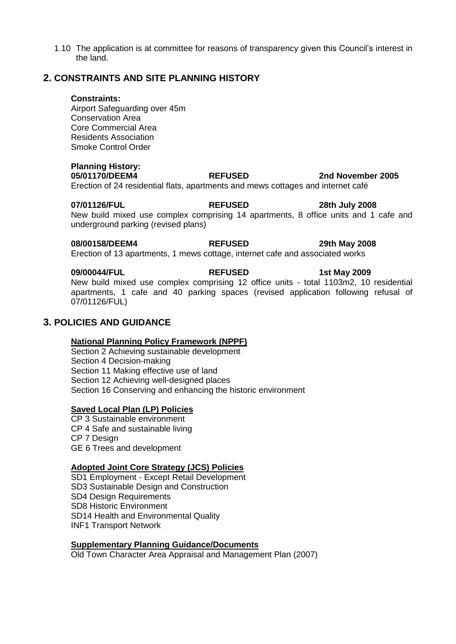1.10 The application is at committee for reasons of transparency given this Council's interest in the land.

## **2. CONSTRAINTS AND SITE PLANNING HISTORY**

#### **Constraints:**

Airport Safeguarding over 45m Conservation Area Core Commercial Area Residents Association Smoke Control Order

# **Planning History:**

**05/01170/DEEM4 REFUSED 2nd November 2005**  Erection of 24 residential flats, apartments and mews cottages and internet café

**07/01126/FUL REFUSED 28th July 2008**  New build mixed use complex comprising 14 apartments, 8 office units and 1 cafe and underground parking (revised plans)

**08/00158/DEEM4 REFUSED 29th May 2008**  Erection of 13 apartments, 1 mews cottage, internet cafe and associated works

**09/00044/FUL REFUSED 1st May 2009**  New build mixed use complex comprising 12 office units - total 1103m2, 10 residential apartments, 1 cafe and 40 parking spaces (revised application following refusal of 07/01126/FUL)

# **3. POLICIES AND GUIDANCE**

### **National Planning Policy Framework (NPPF)**

Section 2 Achieving sustainable development Section 4 Decision-making Section 11 Making effective use of land Section 12 Achieving well-designed places Section 16 Conserving and enhancing the historic environment

## **Saved Local Plan (LP) Policies**

CP 3 Sustainable environment CP 4 Safe and sustainable living CP 7 Design GE 6 Trees and development

## **Adopted Joint Core Strategy (JCS) Policies**

SD1 Employment - Except Retail Development SD3 Sustainable Design and Construction SD4 Design Requirements SD8 Historic Environment SD14 Health and Environmental Quality INF1 Transport Network

### **Supplementary Planning Guidance/Documents**

Old Town Character Area Appraisal and Management Plan (2007)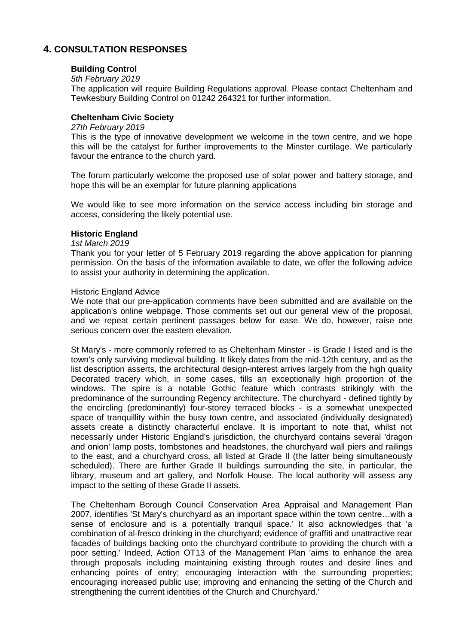# **4. CONSULTATION RESPONSES**

### **Building Control**

### *5th February 2019*

The application will require Building Regulations approval. Please contact Cheltenham and Tewkesbury Building Control on 01242 264321 for further information.

## **Cheltenham Civic Society**

#### *27th February 2019*

This is the type of innovative development we welcome in the town centre, and we hope this will be the catalyst for further improvements to the Minster curtilage. We particularly favour the entrance to the church yard.

The forum particularly welcome the proposed use of solar power and battery storage, and hope this will be an exemplar for future planning applications

We would like to see more information on the service access including bin storage and access, considering the likely potential use.

### **Historic England**

### *1st March 2019*

Thank you for your letter of 5 February 2019 regarding the above application for planning permission. On the basis of the information available to date, we offer the following advice to assist your authority in determining the application.

### Historic England Advice

We note that our pre-application comments have been submitted and are available on the application's online webpage. Those comments set out our general view of the proposal, and we repeat certain pertinent passages below for ease. We do, however, raise one serious concern over the eastern elevation.

St Mary's - more commonly referred to as Cheltenham Minster - is Grade I listed and is the town's only surviving medieval building. It likely dates from the mid-12th century, and as the list description asserts, the architectural design-interest arrives largely from the high quality Decorated tracery which, in some cases, fills an exceptionally high proportion of the windows. The spire is a notable Gothic feature which contrasts strikingly with the predominance of the surrounding Regency architecture. The churchyard - defined tightly by the encircling (predominantly) four-storey terraced blocks - is a somewhat unexpected space of tranquillity within the busy town centre, and associated (individually designated) assets create a distinctly characterful enclave. It is important to note that, whilst not necessarily under Historic England's jurisdiction, the churchyard contains several 'dragon and onion' lamp posts, tombstones and headstones, the churchyard wall piers and railings to the east, and a churchyard cross, all listed at Grade II (the latter being simultaneously scheduled). There are further Grade II buildings surrounding the site, in particular, the library, museum and art gallery, and Norfolk House. The local authority will assess any impact to the setting of these Grade II assets.

The Cheltenham Borough Council Conservation Area Appraisal and Management Plan 2007, identifies 'St Mary's churchyard as an important space within the town centre…with a sense of enclosure and is a potentially tranquil space.' It also acknowledges that 'a combination of al-fresco drinking in the churchyard; evidence of graffiti and unattractive rear facades of buildings backing onto the churchyard contribute to providing the church with a poor setting.' Indeed, Action OT13 of the Management Plan 'aims to enhance the area through proposals including maintaining existing through routes and desire lines and enhancing points of entry; encouraging interaction with the surrounding properties; encouraging increased public use; improving and enhancing the setting of the Church and strengthening the current identities of the Church and Churchyard.'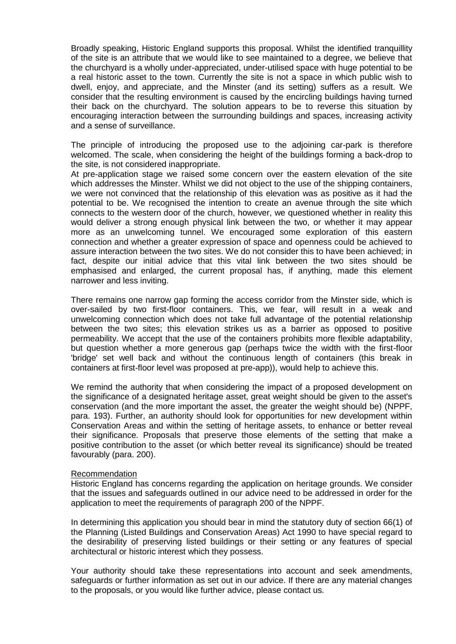Broadly speaking, Historic England supports this proposal. Whilst the identified tranquillity of the site is an attribute that we would like to see maintained to a degree, we believe that the churchyard is a wholly under-appreciated, under-utilised space with huge potential to be a real historic asset to the town. Currently the site is not a space in which public wish to dwell, enjoy, and appreciate, and the Minster (and its setting) suffers as a result. We consider that the resulting environment is caused by the encircling buildings having turned their back on the churchyard. The solution appears to be to reverse this situation by encouraging interaction between the surrounding buildings and spaces, increasing activity and a sense of surveillance.

The principle of introducing the proposed use to the adjoining car-park is therefore welcomed. The scale, when considering the height of the buildings forming a back-drop to the site, is not considered inappropriate.

At pre-application stage we raised some concern over the eastern elevation of the site which addresses the Minster. Whilst we did not object to the use of the shipping containers, we were not convinced that the relationship of this elevation was as positive as it had the potential to be. We recognised the intention to create an avenue through the site which connects to the western door of the church, however, we questioned whether in reality this would deliver a strong enough physical link between the two, or whether it may appear more as an unwelcoming tunnel. We encouraged some exploration of this eastern connection and whether a greater expression of space and openness could be achieved to assure interaction between the two sites. We do not consider this to have been achieved; in fact, despite our initial advice that this vital link between the two sites should be emphasised and enlarged, the current proposal has, if anything, made this element narrower and less inviting.

There remains one narrow gap forming the access corridor from the Minster side, which is over-sailed by two first-floor containers. This, we fear, will result in a weak and unwelcoming connection which does not take full advantage of the potential relationship between the two sites; this elevation strikes us as a barrier as opposed to positive permeability. We accept that the use of the containers prohibits more flexible adaptability, but question whether a more generous gap (perhaps twice the width with the first-floor 'bridge' set well back and without the continuous length of containers (this break in containers at first-floor level was proposed at pre-app)), would help to achieve this.

We remind the authority that when considering the impact of a proposed development on the significance of a designated heritage asset, great weight should be given to the asset's conservation (and the more important the asset, the greater the weight should be) (NPPF, para. 193). Further, an authority should look for opportunities for new development within Conservation Areas and within the setting of heritage assets, to enhance or better reveal their significance. Proposals that preserve those elements of the setting that make a positive contribution to the asset (or which better reveal its significance) should be treated favourably (para. 200).

#### Recommendation

Historic England has concerns regarding the application on heritage grounds. We consider that the issues and safeguards outlined in our advice need to be addressed in order for the application to meet the requirements of paragraph 200 of the NPPF.

In determining this application you should bear in mind the statutory duty of section 66(1) of the Planning (Listed Buildings and Conservation Areas) Act 1990 to have special regard to the desirability of preserving listed buildings or their setting or any features of special architectural or historic interest which they possess.

Your authority should take these representations into account and seek amendments, safeguards or further information as set out in our advice. If there are any material changes to the proposals, or you would like further advice, please contact us.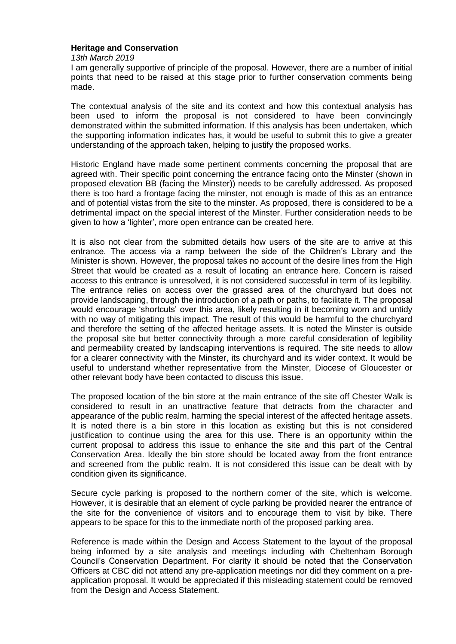### **Heritage and Conservation**

*13th March 2019*

I am generally supportive of principle of the proposal. However, there are a number of initial points that need to be raised at this stage prior to further conservation comments being made.

The contextual analysis of the site and its context and how this contextual analysis has been used to inform the proposal is not considered to have been convincingly demonstrated within the submitted information. If this analysis has been undertaken, which the supporting information indicates has, it would be useful to submit this to give a greater understanding of the approach taken, helping to justify the proposed works.

Historic England have made some pertinent comments concerning the proposal that are agreed with. Their specific point concerning the entrance facing onto the Minster (shown in proposed elevation BB (facing the Minster)) needs to be carefully addressed. As proposed there is too hard a frontage facing the minster, not enough is made of this as an entrance and of potential vistas from the site to the minster. As proposed, there is considered to be a detrimental impact on the special interest of the Minster. Further consideration needs to be given to how a 'lighter', more open entrance can be created here.

It is also not clear from the submitted details how users of the site are to arrive at this entrance. The access via a ramp between the side of the Children's Library and the Minister is shown. However, the proposal takes no account of the desire lines from the High Street that would be created as a result of locating an entrance here. Concern is raised access to this entrance is unresolved, it is not considered successful in term of its legibility. The entrance relies on access over the grassed area of the churchyard but does not provide landscaping, through the introduction of a path or paths, to facilitate it. The proposal would encourage 'shortcuts' over this area, likely resulting in it becoming worn and untidy with no way of mitigating this impact. The result of this would be harmful to the churchyard and therefore the setting of the affected heritage assets. It is noted the Minster is outside the proposal site but better connectivity through a more careful consideration of legibility and permeability created by landscaping interventions is required. The site needs to allow for a clearer connectivity with the Minster, its churchyard and its wider context. It would be useful to understand whether representative from the Minster, Diocese of Gloucester or other relevant body have been contacted to discuss this issue.

The proposed location of the bin store at the main entrance of the site off Chester Walk is considered to result in an unattractive feature that detracts from the character and appearance of the public realm, harming the special interest of the affected heritage assets. It is noted there is a bin store in this location as existing but this is not considered justification to continue using the area for this use. There is an opportunity within the current proposal to address this issue to enhance the site and this part of the Central Conservation Area. Ideally the bin store should be located away from the front entrance and screened from the public realm. It is not considered this issue can be dealt with by condition given its significance.

Secure cycle parking is proposed to the northern corner of the site, which is welcome. However, it is desirable that an element of cycle parking be provided nearer the entrance of the site for the convenience of visitors and to encourage them to visit by bike. There appears to be space for this to the immediate north of the proposed parking area.

Reference is made within the Design and Access Statement to the layout of the proposal being informed by a site analysis and meetings including with Cheltenham Borough Council's Conservation Department. For clarity it should be noted that the Conservation Officers at CBC did not attend any pre-application meetings nor did they comment on a preapplication proposal. It would be appreciated if this misleading statement could be removed from the Design and Access Statement.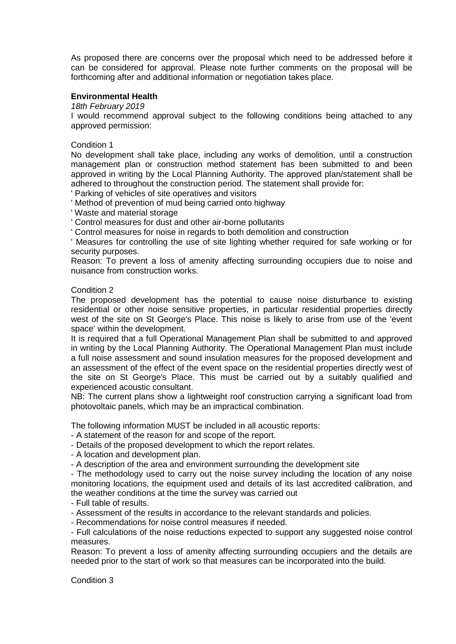As proposed there are concerns over the proposal which need to be addressed before it can be considered for approval. Please note further comments on the proposal will be forthcoming after and additional information or negotiation takes place.

### **Environmental Health**

*18th February 2019*

I would recommend approval subject to the following conditions being attached to any approved permission:

### Condition 1

No development shall take place, including any works of demolition, until a construction management plan or construction method statement has been submitted to and been approved in writing by the Local Planning Authority. The approved plan/statement shall be adhered to throughout the construction period. The statement shall provide for:

Parking of vehicles of site operatives and visitors

' Method of prevention of mud being carried onto highway

' Waste and material storage

' Control measures for dust and other air-borne pollutants

' Control measures for noise in regards to both demolition and construction

' Measures for controlling the use of site lighting whether required for safe working or for security purposes.

Reason: To prevent a loss of amenity affecting surrounding occupiers due to noise and nuisance from construction works.

#### Condition 2

The proposed development has the potential to cause noise disturbance to existing residential or other noise sensitive properties, in particular residential properties directly west of the site on St George's Place. This noise is likely to arise from use of the 'event space' within the development.

It is required that a full Operational Management Plan shall be submitted to and approved in writing by the Local Planning Authority. The Operational Management Plan must include a full noise assessment and sound insulation measures for the proposed development and an assessment of the effect of the event space on the residential properties directly west of the site on St George's Place. This must be carried out by a suitably qualified and experienced acoustic consultant.

NB: The current plans show a lightweight roof construction carrying a significant load from photovoltaic panels, which may be an impractical combination.

The following information MUST be included in all acoustic reports:

- A statement of the reason for and scope of the report.

- Details of the proposed development to which the report relates.

- A location and development plan.

- A description of the area and environment surrounding the development site

- The methodology used to carry out the noise survey including the location of any noise monitoring locations, the equipment used and details of its last accredited calibration, and the weather conditions at the time the survey was carried out

- Full table of results.

- Assessment of the results in accordance to the relevant standards and policies.

- Recommendations for noise control measures if needed.

- Full calculations of the noise reductions expected to support any suggested noise control measures.

Reason: To prevent a loss of amenity affecting surrounding occupiers and the details are needed prior to the start of work so that measures can be incorporated into the build.

Condition 3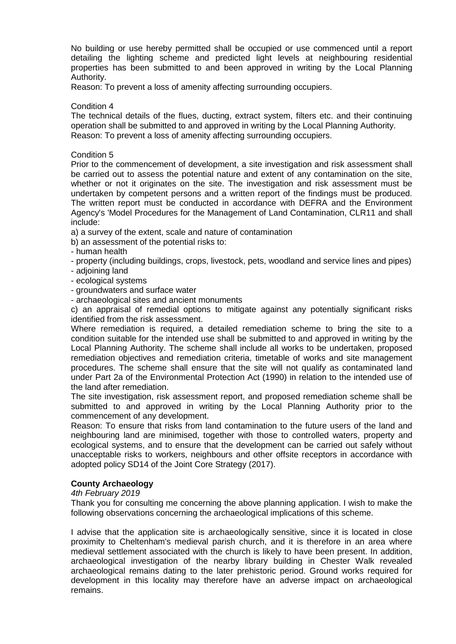No building or use hereby permitted shall be occupied or use commenced until a report detailing the lighting scheme and predicted light levels at neighbouring residential properties has been submitted to and been approved in writing by the Local Planning Authority.

Reason: To prevent a loss of amenity affecting surrounding occupiers.

### Condition 4

The technical details of the flues, ducting, extract system, filters etc. and their continuing operation shall be submitted to and approved in writing by the Local Planning Authority. Reason: To prevent a loss of amenity affecting surrounding occupiers.

### Condition 5

Prior to the commencement of development, a site investigation and risk assessment shall be carried out to assess the potential nature and extent of any contamination on the site, whether or not it originates on the site. The investigation and risk assessment must be undertaken by competent persons and a written report of the findings must be produced. The written report must be conducted in accordance with DEFRA and the Environment Agency's 'Model Procedures for the Management of Land Contamination, CLR11 and shall include:

a) a survey of the extent, scale and nature of contamination

b) an assessment of the potential risks to:

- human health

- property (including buildings, crops, livestock, pets, woodland and service lines and pipes) - adjoining land

- ecological systems

- groundwaters and surface water

- archaeological sites and ancient monuments

c) an appraisal of remedial options to mitigate against any potentially significant risks identified from the risk assessment.

Where remediation is required, a detailed remediation scheme to bring the site to a condition suitable for the intended use shall be submitted to and approved in writing by the Local Planning Authority. The scheme shall include all works to be undertaken, proposed remediation objectives and remediation criteria, timetable of works and site management procedures. The scheme shall ensure that the site will not qualify as contaminated land under Part 2a of the Environmental Protection Act (1990) in relation to the intended use of the land after remediation.

The site investigation, risk assessment report, and proposed remediation scheme shall be submitted to and approved in writing by the Local Planning Authority prior to the commencement of any development.

Reason: To ensure that risks from land contamination to the future users of the land and neighbouring land are minimised, together with those to controlled waters, property and ecological systems, and to ensure that the development can be carried out safely without unacceptable risks to workers, neighbours and other offsite receptors in accordance with adopted policy SD14 of the Joint Core Strategy (2017).

## **County Archaeology**

### *4th February 2019*

Thank you for consulting me concerning the above planning application. I wish to make the following observations concerning the archaeological implications of this scheme.

I advise that the application site is archaeologically sensitive, since it is located in close proximity to Cheltenham's medieval parish church, and it is therefore in an area where medieval settlement associated with the church is likely to have been present. In addition, archaeological investigation of the nearby library building in Chester Walk revealed archaeological remains dating to the later prehistoric period. Ground works required for development in this locality may therefore have an adverse impact on archaeological remains.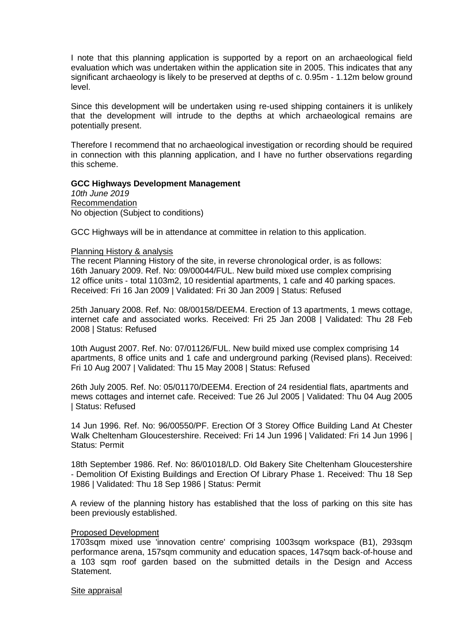I note that this planning application is supported by a report on an archaeological field evaluation which was undertaken within the application site in 2005. This indicates that any significant archaeology is likely to be preserved at depths of c. 0.95m - 1.12m below ground level.

Since this development will be undertaken using re-used shipping containers it is unlikely that the development will intrude to the depths at which archaeological remains are potentially present.

Therefore I recommend that no archaeological investigation or recording should be required in connection with this planning application, and I have no further observations regarding this scheme.

#### **GCC Highways Development Management**

*10th June 2019* Recommendation No objection (Subject to conditions)

GCC Highways will be in attendance at committee in relation to this application.

#### Planning History & analysis

The recent Planning History of the site, in reverse chronological order, is as follows: 16th January 2009. Ref. No: 09/00044/FUL. New build mixed use complex comprising 12 office units ‐ total 1103m2, 10 residential apartments, 1 cafe and 40 parking spaces. Received: Fri 16 Jan 2009 | Validated: Fri 30 Jan 2009 | Status: Refused

25th January 2008. Ref. No: 08/00158/DEEM4. Erection of 13 apartments, 1 mews cottage, internet cafe and associated works. Received: Fri 25 Jan 2008 | Validated: Thu 28 Feb 2008 | Status: Refused

10th August 2007. Ref. No: 07/01126/FUL. New build mixed use complex comprising 14 apartments, 8 office units and 1 cafe and underground parking (Revised plans). Received: Fri 10 Aug 2007 | Validated: Thu 15 May 2008 | Status: Refused

26th July 2005. Ref. No: 05/01170/DEEM4. Erection of 24 residential flats, apartments and mews cottages and internet cafe. Received: Tue 26 Jul 2005 | Validated: Thu 04 Aug 2005 | Status: Refused

14 Jun 1996. Ref. No: 96/00550/PF. Erection Of 3 Storey Office Building Land At Chester Walk Cheltenham Gloucestershire. Received: Fri 14 Jun 1996 | Validated: Fri 14 Jun 1996 | Status: Permit

18th September 1986. Ref. No: 86/01018/LD. Old Bakery Site Cheltenham Gloucestershire ‐ Demolition Of Existing Buildings and Erection Of Library Phase 1. Received: Thu 18 Sep 1986 | Validated: Thu 18 Sep 1986 | Status: Permit

A review of the planning history has established that the loss of parking on this site has been previously established.

#### Proposed Development

1703sqm mixed use 'innovation centre' comprising 1003sqm workspace (B1), 293sqm performance arena, 157sqm community and education spaces, 147sqm back‐of‐house and a 103 sqm roof garden based on the submitted details in the Design and Access Statement.

#### Site appraisal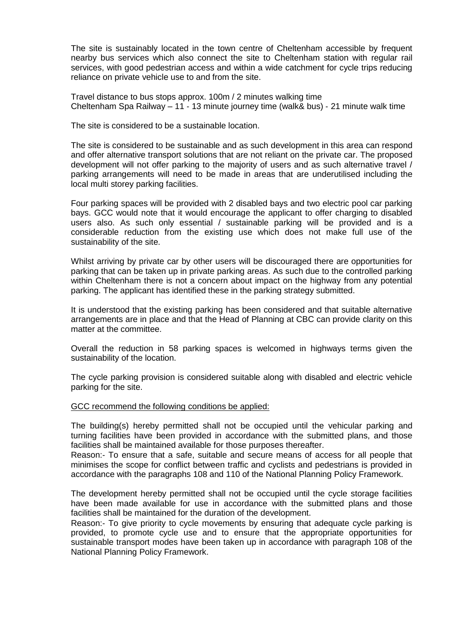The site is sustainably located in the town centre of Cheltenham accessible by frequent nearby bus services which also connect the site to Cheltenham station with regular rail services, with good pedestrian access and within a wide catchment for cycle trips reducing reliance on private vehicle use to and from the site.

Travel distance to bus stops approx. 100m / 2 minutes walking time Cheltenham Spa Railway – 11 ‐ 13 minute journey time (walk& bus) ‐ 21 minute walk time

The site is considered to be a sustainable location.

The site is considered to be sustainable and as such development in this area can respond and offer alternative transport solutions that are not reliant on the private car. The proposed development will not offer parking to the majority of users and as such alternative travel / parking arrangements will need to be made in areas that are underutilised including the local multi storey parking facilities.

Four parking spaces will be provided with 2 disabled bays and two electric pool car parking bays. GCC would note that it would encourage the applicant to offer charging to disabled users also. As such only essential / sustainable parking will be provided and is a considerable reduction from the existing use which does not make full use of the sustainability of the site.

Whilst arriving by private car by other users will be discouraged there are opportunities for parking that can be taken up in private parking areas. As such due to the controlled parking within Cheltenham there is not a concern about impact on the highway from any potential parking. The applicant has identified these in the parking strategy submitted.

It is understood that the existing parking has been considered and that suitable alternative arrangements are in place and that the Head of Planning at CBC can provide clarity on this matter at the committee.

Overall the reduction in 58 parking spaces is welcomed in highways terms given the sustainability of the location.

The cycle parking provision is considered suitable along with disabled and electric vehicle parking for the site.

### GCC recommend the following conditions be applied:

The building(s) hereby permitted shall not be occupied until the vehicular parking and turning facilities have been provided in accordance with the submitted plans, and those facilities shall be maintained available for those purposes thereafter.

Reason:‐ To ensure that a safe, suitable and secure means of access for all people that minimises the scope for conflict between traffic and cyclists and pedestrians is provided in accordance with the paragraphs 108 and 110 of the National Planning Policy Framework.

The development hereby permitted shall not be occupied until the cycle storage facilities have been made available for use in accordance with the submitted plans and those facilities shall be maintained for the duration of the development.

Reason:‐ To give priority to cycle movements by ensuring that adequate cycle parking is provided, to promote cycle use and to ensure that the appropriate opportunities for sustainable transport modes have been taken up in accordance with paragraph 108 of the National Planning Policy Framework.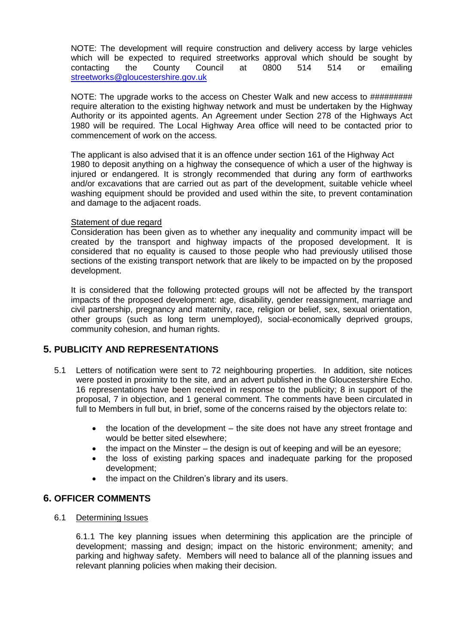NOTE: The development will require construction and delivery access by large vehicles which will be expected to required streetworks approval which should be sought by contacting the County Council at 0800 514 514 or emailing [streetworks@gloucestershire.gov.uk](mailto:streetworks@gloucestershire.gov.uk)

NOTE: The upgrade works to the access on Chester Walk and new access to ########## require alteration to the existing highway network and must be undertaken by the Highway Authority or its appointed agents. An Agreement under Section 278 of the Highways Act 1980 will be required. The Local Highway Area office will need to be contacted prior to commencement of work on the access.

The applicant is also advised that it is an offence under section 161 of the Highway Act 1980 to deposit anything on a highway the consequence of which a user of the highway is injured or endangered. It is strongly recommended that during any form of earthworks and/or excavations that are carried out as part of the development, suitable vehicle wheel washing equipment should be provided and used within the site, to prevent contamination and damage to the adjacent roads.

## Statement of due regard

Consideration has been given as to whether any inequality and community impact will be created by the transport and highway impacts of the proposed development. It is considered that no equality is caused to those people who had previously utilised those sections of the existing transport network that are likely to be impacted on by the proposed development.

It is considered that the following protected groups will not be affected by the transport impacts of the proposed development: age, disability, gender reassignment, marriage and civil partnership, pregnancy and maternity, race, religion or belief, sex, sexual orientation, other groups (such as long term unemployed), social‐economically deprived groups, community cohesion, and human rights.

# **5. PUBLICITY AND REPRESENTATIONS**

- 5.1 Letters of notification were sent to 72 neighbouring properties. In addition, site notices were posted in proximity to the site, and an advert published in the Gloucestershire Echo. 16 representations have been received in response to the publicity; 8 in support of the proposal, 7 in objection, and 1 general comment. The comments have been circulated in full to Members in full but, in brief, some of the concerns raised by the objectors relate to:
	- the location of the development the site does not have any street frontage and would be better sited elsewhere;
	- $\bullet$  the impact on the Minster the design is out of keeping and will be an eyesore;
	- the loss of existing parking spaces and inadequate parking for the proposed development;
	- the impact on the Children's library and its users.

# **6. OFFICER COMMENTS**

## 6.1 Determining Issues

6.1.1 The key planning issues when determining this application are the principle of development; massing and design; impact on the historic environment; amenity; and parking and highway safety. Members will need to balance all of the planning issues and relevant planning policies when making their decision.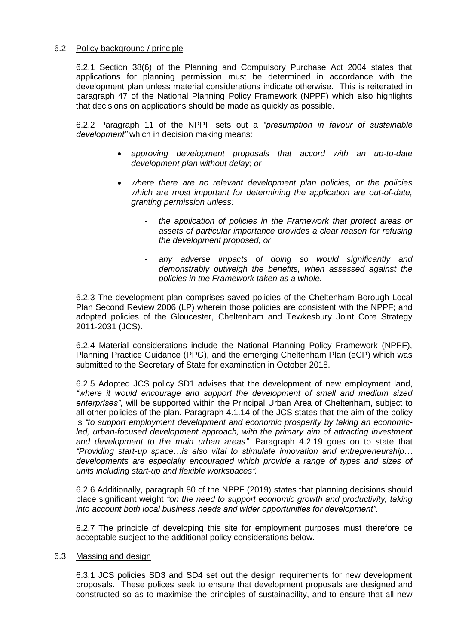## 6.2 Policy background / principle

6.2.1 Section 38(6) of the Planning and Compulsory Purchase Act 2004 states that applications for planning permission must be determined in accordance with the development plan unless material considerations indicate otherwise. This is reiterated in paragraph 47 of the National Planning Policy Framework (NPPF) which also highlights that decisions on applications should be made as quickly as possible.

6.2.2 Paragraph 11 of the NPPF sets out a *"presumption in favour of sustainable development"* which in decision making means:

- *approving development proposals that accord with an up-to-date development plan without delay; or*
- *where there are no relevant development plan policies, or the policies which are most important for determining the application are out-of-date, granting permission unless:*
	- *the application of policies in the Framework that protect areas or assets of particular importance provides a clear reason for refusing the development proposed; or*
	- *any adverse impacts of doing so would significantly and demonstrably outweigh the benefits, when assessed against the policies in the Framework taken as a whole.*

6.2.3 The development plan comprises saved policies of the Cheltenham Borough Local Plan Second Review 2006 (LP) wherein those policies are consistent with the NPPF; and adopted policies of the Gloucester, Cheltenham and Tewkesbury Joint Core Strategy 2011-2031 (JCS).

6.2.4 Material considerations include the National Planning Policy Framework (NPPF), Planning Practice Guidance (PPG), and the emerging Cheltenham Plan (eCP) which was submitted to the Secretary of State for examination in October 2018.

6.2.5 Adopted JCS policy SD1 advises that the development of new employment land, *"where it would encourage and support the development of small and medium sized enterprises"*, will be supported within the Principal Urban Area of Cheltenham, subject to all other policies of the plan. Paragraph 4.1.14 of the JCS states that the aim of the policy is *"to support employment development and economic prosperity by taking an economic*led, urban-focused development approach, with the primary aim of attracting investment *and development to the main urban areas".* Paragraph 4.2.19 goes on to state that *"Providing start-up space…is also vital to stimulate innovation and entrepreneurship… developments are especially encouraged which provide a range of types and sizes of units including start-up and flexible workspaces".*

6.2.6 Additionally, paragraph 80 of the NPPF (2019) states that planning decisions should place significant weight *"on the need to support economic growth and productivity, taking into account both local business needs and wider opportunities for development".*

6.2.7 The principle of developing this site for employment purposes must therefore be acceptable subject to the additional policy considerations below.

### 6.3 Massing and design

6.3.1 JCS policies SD3 and SD4 set out the design requirements for new development proposals. These polices seek to ensure that development proposals are designed and constructed so as to maximise the principles of sustainability, and to ensure that all new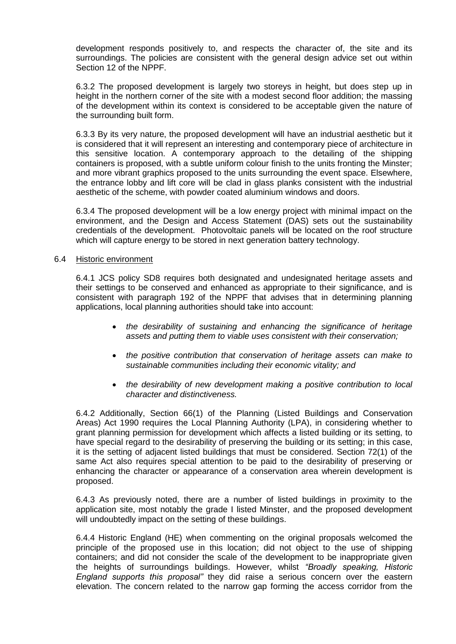development responds positively to, and respects the character of, the site and its surroundings. The policies are consistent with the general design advice set out within Section 12 of the NPPF.

6.3.2 The proposed development is largely two storeys in height, but does step up in height in the northern corner of the site with a modest second floor addition; the massing of the development within its context is considered to be acceptable given the nature of the surrounding built form.

6.3.3 By its very nature, the proposed development will have an industrial aesthetic but it is considered that it will represent an interesting and contemporary piece of architecture in this sensitive location. A contemporary approach to the detailing of the shipping containers is proposed, with a subtle uniform colour finish to the units fronting the Minster; and more vibrant graphics proposed to the units surrounding the event space. Elsewhere, the entrance lobby and lift core will be clad in glass planks consistent with the industrial aesthetic of the scheme, with powder coated aluminium windows and doors.

6.3.4 The proposed development will be a low energy project with minimal impact on the environment, and the Design and Access Statement (DAS) sets out the sustainability credentials of the development. Photovoltaic panels will be located on the roof structure which will capture energy to be stored in next generation battery technology.

## 6.4 Historic environment

6.4.1 JCS policy SD8 requires both designated and undesignated heritage assets and their settings to be conserved and enhanced as appropriate to their significance, and is consistent with paragraph 192 of the NPPF that advises that in determining planning applications, local planning authorities should take into account:

- *the desirability of sustaining and enhancing the significance of heritage assets and putting them to viable uses consistent with their conservation;*
- *the positive contribution that conservation of heritage assets can make to sustainable communities including their economic vitality; and*
- *the desirability of new development making a positive contribution to local character and distinctiveness.*

6.4.2 Additionally, Section 66(1) of the Planning (Listed Buildings and Conservation Areas) Act 1990 requires the Local Planning Authority (LPA), in considering whether to grant planning permission for development which affects a listed building or its setting, to have special regard to the desirability of preserving the building or its setting; in this case, it is the setting of adjacent listed buildings that must be considered. Section 72(1) of the same Act also requires special attention to be paid to the desirability of preserving or enhancing the character or appearance of a conservation area wherein development is proposed.

6.4.3 As previously noted, there are a number of listed buildings in proximity to the application site, most notably the grade I listed Minster, and the proposed development will undoubtedly impact on the setting of these buildings.

6.4.4 Historic England (HE) when commenting on the original proposals welcomed the principle of the proposed use in this location; did not object to the use of shipping containers; and did not consider the scale of the development to be inappropriate given the heights of surroundings buildings. However, whilst *"Broadly speaking, Historic England supports this proposal"* they did raise a serious concern over the eastern elevation. The concern related to the narrow gap forming the access corridor from the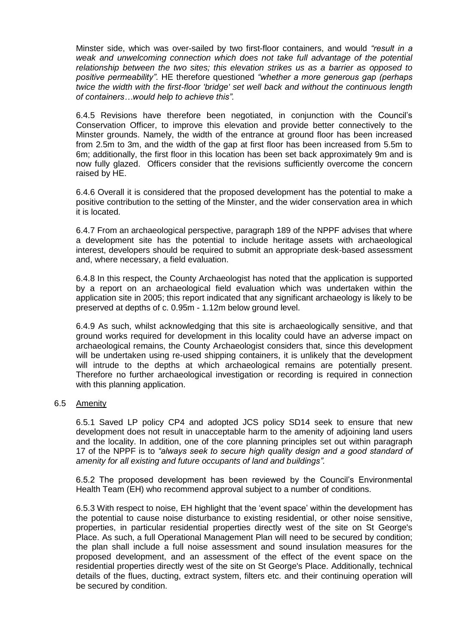Minster side, which was over-sailed by two first-floor containers, and would *"result in a weak and unwelcoming connection which does not take full advantage of the potential relationship between the two sites; this elevation strikes us as a barrier as opposed to positive permeability"*. HE therefore questioned *"whether a more generous gap (perhaps twice the width with the first-floor 'bridge' set well back and without the continuous length of containers…would help to achieve this".*

6.4.5 Revisions have therefore been negotiated, in conjunction with the Council's Conservation Officer, to improve this elevation and provide better connectively to the Minster grounds. Namely, the width of the entrance at ground floor has been increased from 2.5m to 3m, and the width of the gap at first floor has been increased from 5.5m to 6m; additionally, the first floor in this location has been set back approximately 9m and is now fully glazed. Officers consider that the revisions sufficiently overcome the concern raised by HE.

6.4.6 Overall it is considered that the proposed development has the potential to make a positive contribution to the setting of the Minster, and the wider conservation area in which it is located.

6.4.7 From an archaeological perspective, paragraph 189 of the NPPF advises that where a development site has the potential to include heritage assets with archaeological interest, developers should be required to submit an appropriate desk-based assessment and, where necessary, a field evaluation.

6.4.8 In this respect, the County Archaeologist has noted that the application is supported by a report on an archaeological field evaluation which was undertaken within the application site in 2005; this report indicated that any significant archaeology is likely to be preserved at depths of c. 0.95m - 1.12m below ground level.

6.4.9 As such, whilst acknowledging that this site is archaeologically sensitive, and that ground works required for development in this locality could have an adverse impact on archaeological remains, the County Archaeologist considers that, since this development will be undertaken using re-used shipping containers, it is unlikely that the development will intrude to the depths at which archaeological remains are potentially present. Therefore no further archaeological investigation or recording is required in connection with this planning application.

## 6.5 Amenity

6.5.1 Saved LP policy CP4 and adopted JCS policy SD14 seek to ensure that new development does not result in unacceptable harm to the amenity of adjoining land users and the locality. In addition, one of the core planning principles set out within paragraph 17 of the NPPF is to *"always seek to secure high quality design and a good standard of amenity for all existing and future occupants of land and buildings".*

6.5.2 The proposed development has been reviewed by the Council's Environmental Health Team (EH) who recommend approval subject to a number of conditions.

6.5.3 With respect to noise, EH highlight that the 'event space' within the development has the potential to cause noise disturbance to existing residential, or other noise sensitive, properties, in particular residential properties directly west of the site on St George's Place. As such, a full Operational Management Plan will need to be secured by condition; the plan shall include a full noise assessment and sound insulation measures for the proposed development, and an assessment of the effect of the event space on the residential properties directly west of the site on St George's Place. Additionally, technical details of the flues, ducting, extract system, filters etc. and their continuing operation will be secured by condition.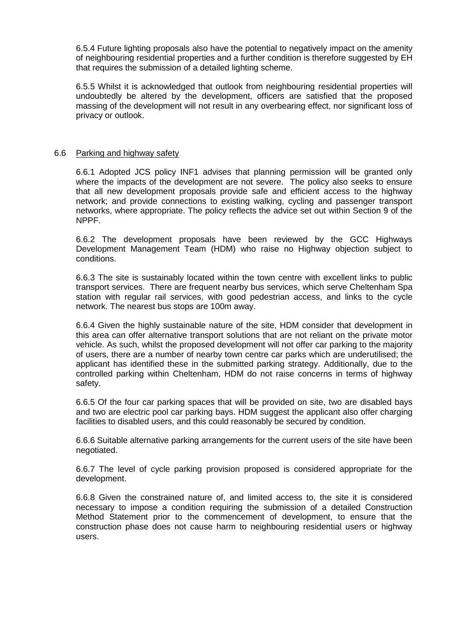6.5.4 Future lighting proposals also have the potential to negatively impact on the amenity of neighbouring residential properties and a further condition is therefore suggested by EH that requires the submission of a detailed lighting scheme.

6.5.5 Whilst it is acknowledged that outlook from neighbouring residential properties will undoubtedly be altered by the development, officers are satisfied that the proposed massing of the development will not result in any overbearing effect, nor significant loss of privacy or outlook.

## 6.6 Parking and highway safety

6.6.1 Adopted JCS policy INF1 advises that planning permission will be granted only where the impacts of the development are not severe. The policy also seeks to ensure that all new development proposals provide safe and efficient access to the highway network; and provide connections to existing walking, cycling and passenger transport networks, where appropriate. The policy reflects the advice set out within Section 9 of the NPPF.

6.6.2 The development proposals have been reviewed by the GCC Highways Development Management Team (HDM) who raise no Highway objection subject to conditions.

6.6.3 The site is sustainably located within the town centre with excellent links to public transport services. There are frequent nearby bus services, which serve Cheltenham Spa station with regular rail services, with good pedestrian access, and links to the cycle network. The nearest bus stops are 100m away.

6.6.4 Given the highly sustainable nature of the site, HDM consider that development in this area can offer alternative transport solutions that are not reliant on the private motor vehicle. As such, whilst the proposed development will not offer car parking to the majority of users, there are a number of nearby town centre car parks which are underutilised; the applicant has identified these in the submitted parking strategy. Additionally, due to the controlled parking within Cheltenham, HDM do not raise concerns in terms of highway safety.

6.6.5 Of the four car parking spaces that will be provided on site, two are disabled bays and two are electric pool car parking bays. HDM suggest the applicant also offer charging facilities to disabled users, and this could reasonably be secured by condition.

6.6.6 Suitable alternative parking arrangements for the current users of the site have been negotiated.

6.6.7 The level of cycle parking provision proposed is considered appropriate for the development.

6.6.8 Given the constrained nature of, and limited access to, the site it is considered necessary to impose a condition requiring the submission of a detailed Construction Method Statement prior to the commencement of development, to ensure that the construction phase does not cause harm to neighbouring residential users or highway users.